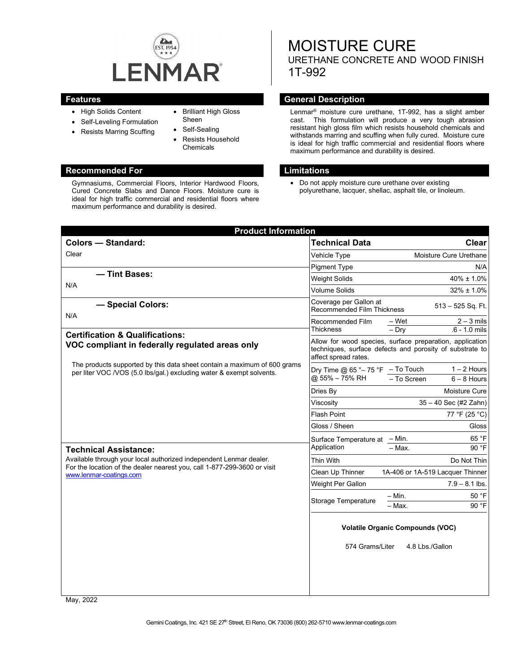

- High Solids Content
- Self-Leveling Formulation
- Resists Marring Scuffing
- Brilliant High Gloss Sheen
- Self-Sealing
- Resists Household Chemicals

#### **Recommended For Limitations**

Gymnasiums, Commercial Floors, Interior Hardwood Floors, Cured Concrete Slabs and Dance Floors. Moisture cure is ideal for high traffic commercial and residential floors where maximum performance and durability is desired.

# MOISTURE CURE URETHANE CONCRETE AND WOOD FINISH 1T-992

#### **Features General Description**

Lenmar® moisture cure urethane, 1T-992, has a slight amber cast. This formulation will produce a very tough abrasion resistant high gloss film which resists household chemicals and withstands marring and scuffing when fully cured. Moisture cure is ideal for high traffic commercial and residential floors where maximum performance and durability is desired.

• Do not apply moisture cure urethane over existing polyurethane, lacquer, shellac, asphalt tile, or linoleum.

| <b>Product Information</b>                                                                                                                                                                                |                                                                                                                                              |                                                     |
|-----------------------------------------------------------------------------------------------------------------------------------------------------------------------------------------------------------|----------------------------------------------------------------------------------------------------------------------------------------------|-----------------------------------------------------|
| <b>Colors - Standard:</b>                                                                                                                                                                                 | <b>Technical Data</b>                                                                                                                        | <b>Clear</b>                                        |
| Clear                                                                                                                                                                                                     | Vehicle Type                                                                                                                                 | Moisture Cure Urethane                              |
|                                                                                                                                                                                                           | <b>Pigment Type</b>                                                                                                                          | N/A                                                 |
| - Tint Bases:<br>N/A                                                                                                                                                                                      | <b>Weight Solids</b>                                                                                                                         | $40\% \pm 1.0\%$                                    |
|                                                                                                                                                                                                           | <b>Volume Solids</b>                                                                                                                         | $32\% \pm 1.0\%$                                    |
| - Special Colors:                                                                                                                                                                                         | Coverage per Gallon at<br>513 - 525 Sq. Ft.<br>Recommended Film Thickness                                                                    |                                                     |
| N/A                                                                                                                                                                                                       | Recommended Film<br>Thickness                                                                                                                | $2 - 3$ mils<br>– Wet<br>$.6 - 1.0$ mils<br>$-$ Dry |
| <b>Certification &amp; Qualifications:</b><br>VOC compliant in federally regulated areas only                                                                                                             | Allow for wood species, surface preparation, application<br>techniques, surface defects and porosity of substrate to<br>affect spread rates. |                                                     |
| The products supported by this data sheet contain a maximum of 600 grams<br>per liter VOC /VOS (5.0 lbs/gal.) excluding water & exempt solvents.                                                          | Dry Time @ $65 °-75 °F$ - To Touch<br>@ 55% - 75% RH                                                                                         | $1 - 2$ Hours<br>- To Screen<br>$6 - 8$ Hours       |
|                                                                                                                                                                                                           | Dries Bv                                                                                                                                     | Moisture Cure                                       |
|                                                                                                                                                                                                           | Viscositv                                                                                                                                    | 35 - 40 Sec (#2 Zahn)                               |
|                                                                                                                                                                                                           | Flash Point                                                                                                                                  | 77 °F (25 °C)                                       |
|                                                                                                                                                                                                           | Gloss / Sheen                                                                                                                                | Gloss                                               |
|                                                                                                                                                                                                           | Surface Temperature at - Min.<br>Application                                                                                                 | 65 °F                                               |
| <b>Technical Assistance:</b><br>Available through your local authorized independent Lenmar dealer.<br>For the location of the dealer nearest you, call 1-877-299-3600 or visit<br>www.lenmar-coatings.com |                                                                                                                                              | 90 °F<br>$-$ Max.                                   |
|                                                                                                                                                                                                           | Thin With                                                                                                                                    | Do Not Thin                                         |
|                                                                                                                                                                                                           | Clean Up Thinner                                                                                                                             | 1A-406 or 1A-519 Lacquer Thinner                    |
|                                                                                                                                                                                                           | Weight Per Gallon                                                                                                                            | $7.9 - 8.1$ lbs.                                    |
|                                                                                                                                                                                                           | Storage Temperature                                                                                                                          | $- Min.$<br>50 °F                                   |
|                                                                                                                                                                                                           |                                                                                                                                              | 90 °F<br>- Max.                                     |
|                                                                                                                                                                                                           | <b>Volatile Organic Compounds (VOC)</b>                                                                                                      |                                                     |
|                                                                                                                                                                                                           | 574 Grams/Liter                                                                                                                              | 4.8 Lbs./Gallon                                     |
|                                                                                                                                                                                                           |                                                                                                                                              |                                                     |

May, 2022